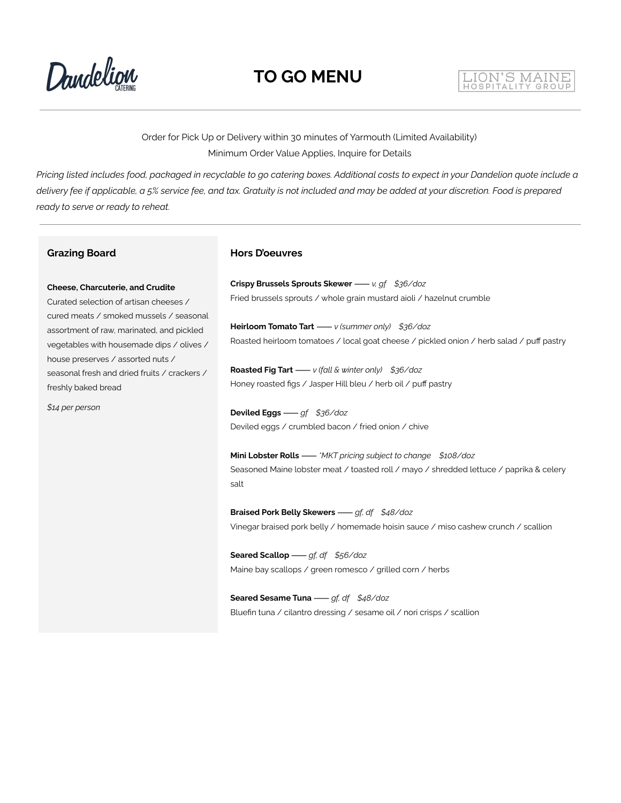Dandelign

#### LION'S MAINE HOSPITALITY GROU

Order for Pick Up or Delivery within 30 minutes of Yarmouth (Limited Availability) Minimum Order Value Applies, Inquire for Details

Pricing listed includes food, packaged in recyclable to go catering boxes. Additional costs to expect in your Dandelion quote include a delivery fee if applicable, a 5% service fee, and tax. Gratuity is not included and may be added at your discretion. Food is prepared *ready to serve or ready to reheat.*

#### **Grazing Board**

#### **Cheese, Charcuterie, and Crudite**

Curated selection of artisan cheeses / cured meats / smoked mussels / seasonal assortment of raw, marinated, and pickled vegetables with housemade dips / olives / house preserves / assorted nuts / seasonal fresh and dried fruits / crackers / freshly baked bread

*\$14 per person*

#### **Hors D'oeuvres**

**Crispy Brussels Sprouts Skewer**⸺*v, gf \$36/doz* Fried brussels sprouts / whole grain mustard aioli / hazelnut crumble

**Heirloom Tomato Tart**⸺*v (summer only) \$36/doz* Roasted heirloom tomatoes / local goat cheese / pickled onion / herb salad / puff pastry

**Roasted Fig Tart**⸺*v (fall & winter only) \$36/doz* Honey roasted figs / Jasper Hill bleu / herb oil / puff pastry

**Deviled Eggs**⸺*gf \$36/doz* Deviled eggs / crumbled bacon / fried onion / chive

**Mini Lobster Rolls**⸺*\*MKT pricing subject to change \$108/doz* Seasoned Maine lobster meat / toasted roll / mayo / shredded lettuce / paprika & celery salt

**Braised Pork Belly Skewers**⸺*gf, df \$48/doz* Vinegar braised pork belly / homemade hoisin sauce / miso cashew crunch / scallion

**Seared Scallop**⸺*gf, df \$56/doz* Maine bay scallops / green romesco / grilled corn / herbs

**Seared Sesame Tuna**⸺*gf, df \$48/doz* Bluefin tuna / cilantro dressing / sesame oil / nori crisps / scallion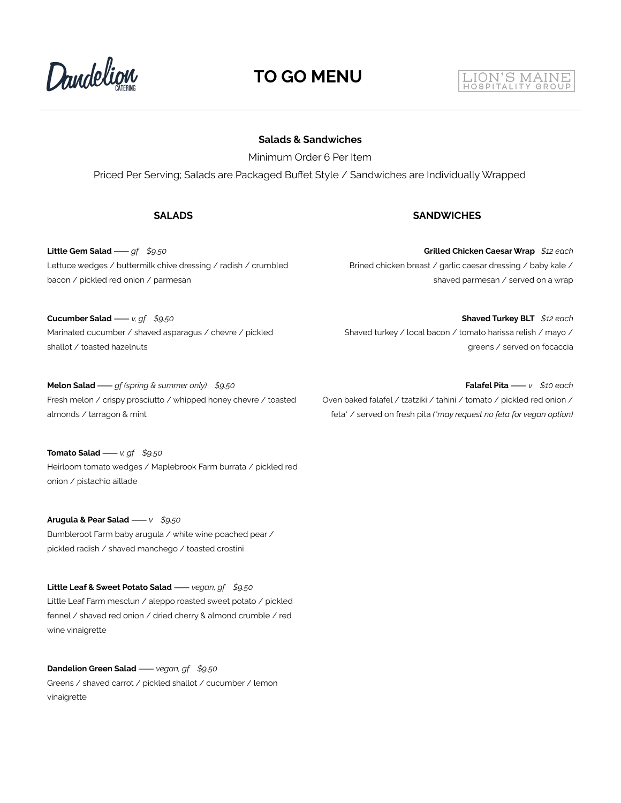

### **TO GO MENU**

### **Salads & Sandwiches**

Minimum Order 6 Per Item

Priced Per Serving; Salads are Packaged Buffet Style / Sandwiches are Individually Wrapped

#### **SALADS SANDWICHES**

**Little Gem Salad**⸺*gf \$9.50* Lettuce wedges / buttermilk chive dressing / radish / crumbled bacon / pickled red onion / parmesan

**Grilled Chicken Caesar Wrap** *\$12 each* Brined chicken breast / garlic caesar dressing / baby kale / shaved parmesan / served on a wrap

Shaved turkey / local bacon / tomato harissa relish / mayo /

**Cucumber Salad**⸺*v, gf \$9.50* Marinated cucumber / shaved asparagus / chevre / pickled shallot / toasted hazelnuts

**Melon Salad**⸺*gf (spring & summer only) \$9.50* Fresh melon / crispy prosciutto / whipped honey chevre / toasted almonds / tarragon & mint

**Tomato Salad**⸺*v, gf \$9.50* Heirloom tomato wedges / Maplebrook Farm burrata / pickled red onion / pistachio aillade

**Arugula & Pear Salad**⸺*v \$9.50* Bumbleroot Farm baby arugula / white wine poached pear / pickled radish / shaved manchego / toasted crostini

**Little Leaf & Sweet Potato Salad**⸺*vegan, gf \$9.50* Little Leaf Farm mesclun / aleppo roasted sweet potato / pickled fennel / shaved red onion / dried cherry & almond crumble / red wine vinaigrette

**Dandelion Green Salad**⸺*vegan, gf \$9.50* Greens / shaved carrot / pickled shallot / cucumber / lemon vinaigrette

Oven baked falafel / tzatziki / tahini / tomato / pickled red onion / feta\* / served on fresh pita *(\*may request no feta for vegan option)*



**Falafel Pita**⸺*v \$10 each*

greens / served on focaccia

**Shaved Turkey BLT** *\$12 each*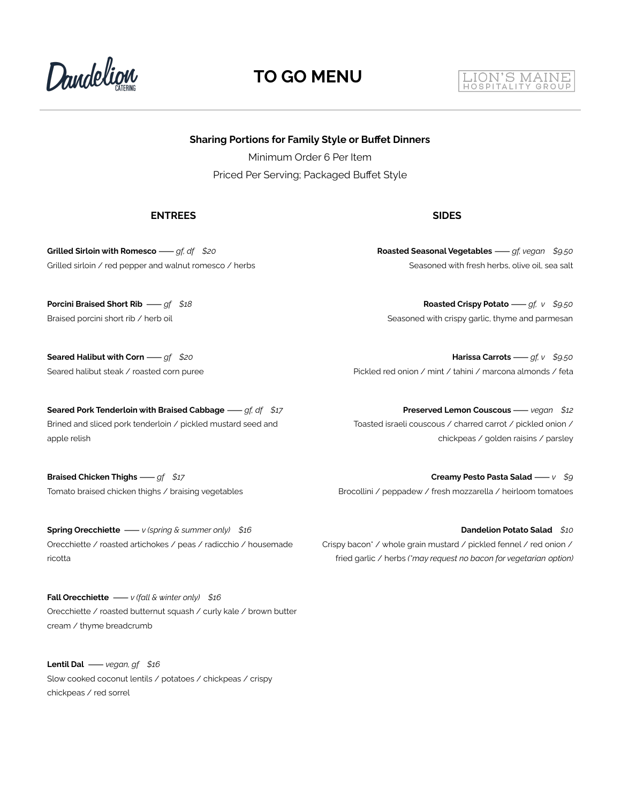

### **TO GO MENU**

#### LION'S MAINE HOSPITALITY GROUP

**Sharing Portions for Family Style or Buffet Dinners**

Minimum Order 6 Per Item Priced Per Serving; Packaged Buffet Style

#### **ENTREES SIDES**

**Grilled Sirloin with Romesco**⸺*gf, df \$20* Grilled sirloin / red pepper and walnut romesco / herbs

**Porcini Braised Short Rib** ⸺*gf \$18* Braised porcini short rib / herb oil

**Seared Halibut with Corn**⸺*gf \$20* Seared halibut steak / roasted corn puree

**Seared Pork Tenderloin with Braised Cabbage**⸺*gf, df \$17* Brined and sliced pork tenderloin / pickled mustard seed and apple relish

**Braised Chicken Thighs**⸺*gf \$17* Tomato braised chicken thighs / braising vegetables

**Spring Orecchiette** ⸺*v (spring & summer only) \$16* Orecchiette / roasted artichokes / peas / radicchio / housemade ricotta

**Fall Orecchiette** ⸺*v (fall & winter only) \$16* Orecchiette / roasted butternut squash / curly kale / brown butter cream / thyme breadcrumb

**Lentil Dal** ⸺*vegan, gf \$16* Slow cooked coconut lentils / potatoes / chickpeas / crispy chickpeas / red sorrel

**Roasted Seasonal Vegetables**⸺*gf, vegan \$9.50*

Seasoned with fresh herbs, olive oil, sea salt

**Roasted Crispy Potato**⸺*gf, v \$9.50* Seasoned with crispy garlic, thyme and parmesan

**Harissa Carrots**⸺*gf, v \$9.50* Pickled red onion / mint / tahini / marcona almonds / feta

**Preserved Lemon Couscous**⸺*vegan \$12* Toasted israeli couscous / charred carrot / pickled onion / chickpeas / golden raisins / parsley

**Creamy Pesto Pasta Salad**⸺*v \$9* Brocollini / peppadew / fresh mozzarella / heirloom tomatoes

**Dandelion Potato Salad** *\$10* Crispy bacon\* / whole grain mustard / pickled fennel / red onion / fried garlic / herbs *(\*may request no bacon for vegetarian option)*